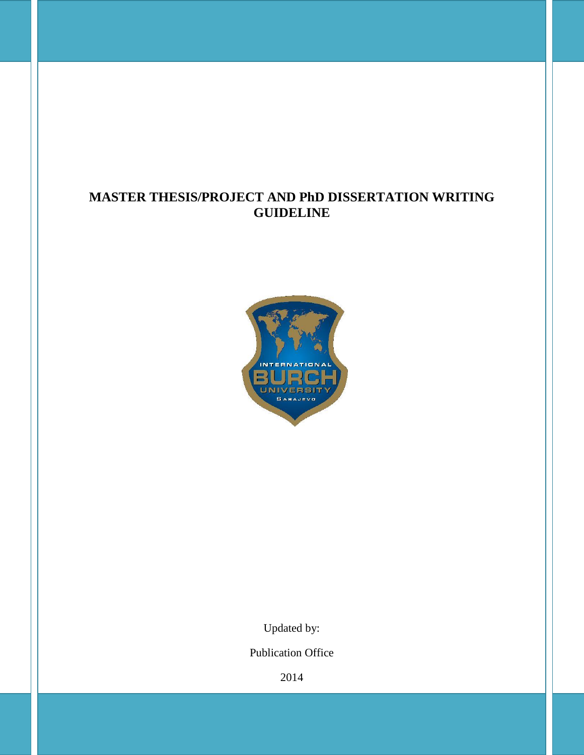# **MASTER THESIS/PROJECT AND PhD DISSERTATION WRITING GUIDELINE**



Updated by:

Publication Office

2014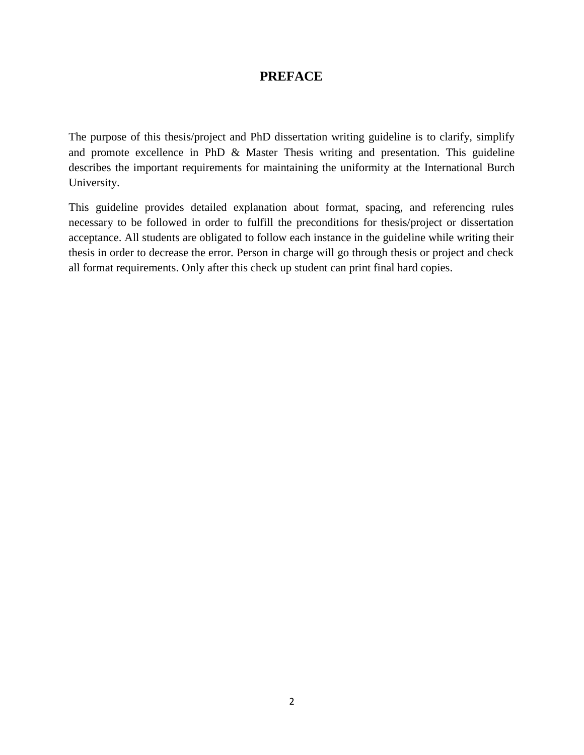# **PREFACE**

The purpose of this thesis/project and PhD dissertation writing guideline is to clarify, simplify and promote excellence in PhD & Master Thesis writing and presentation. This guideline describes the important requirements for maintaining the uniformity at the International Burch University.

This guideline provides detailed explanation about format, spacing, and referencing rules necessary to be followed in order to fulfill the preconditions for thesis/project or dissertation acceptance. All students are obligated to follow each instance in the guideline while writing their thesis in order to decrease the error. Person in charge will go through thesis or project and check all format requirements. Only after this check up student can print final hard copies.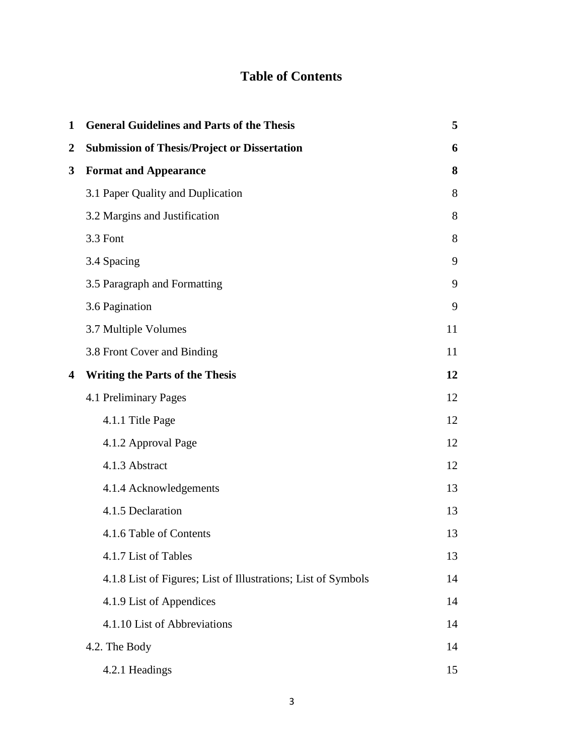# **Table of Contents**

| $\mathbf{1}$            | <b>General Guidelines and Parts of the Thesis</b>             | 5  |
|-------------------------|---------------------------------------------------------------|----|
| $\overline{2}$          | <b>Submission of Thesis/Project or Dissertation</b>           | 6  |
| 3                       | <b>Format and Appearance</b>                                  | 8  |
|                         | 3.1 Paper Quality and Duplication                             | 8  |
|                         | 3.2 Margins and Justification                                 | 8  |
|                         | 3.3 Font                                                      | 8  |
|                         | 3.4 Spacing                                                   | 9  |
|                         | 3.5 Paragraph and Formatting                                  | 9  |
|                         | 3.6 Pagination                                                | 9  |
|                         | 3.7 Multiple Volumes                                          | 11 |
|                         | 3.8 Front Cover and Binding                                   | 11 |
| $\overline{\mathbf{4}}$ | <b>Writing the Parts of the Thesis</b>                        | 12 |
|                         | 4.1 Preliminary Pages                                         | 12 |
|                         | 4.1.1 Title Page                                              | 12 |
|                         | 4.1.2 Approval Page                                           | 12 |
|                         | 4.1.3 Abstract                                                | 12 |
|                         | 4.1.4 Acknowledgements                                        | 13 |
|                         | 4.1.5 Declaration                                             | 13 |
|                         | 4.1.6 Table of Contents                                       | 13 |
|                         | 4.1.7 List of Tables                                          | 13 |
|                         | 4.1.8 List of Figures; List of Illustrations; List of Symbols | 14 |
|                         | 4.1.9 List of Appendices                                      | 14 |
|                         | 4.1.10 List of Abbreviations                                  | 14 |
|                         | 4.2. The Body                                                 | 14 |
|                         | 4.2.1 Headings                                                | 15 |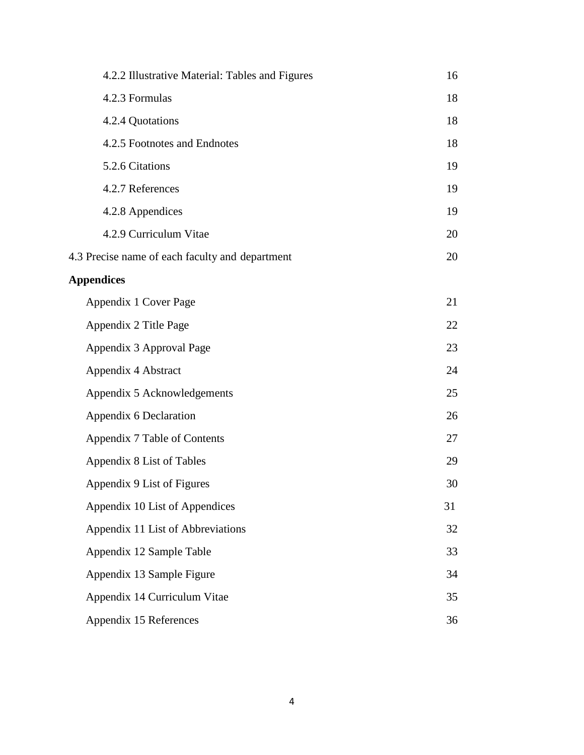| 4.2.2 Illustrative Material: Tables and Figures | 16 |
|-------------------------------------------------|----|
| 4.2.3 Formulas                                  | 18 |
| 4.2.4 Quotations                                | 18 |
| 4.2.5 Footnotes and Endnotes                    | 18 |
| 5.2.6 Citations                                 | 19 |
| 4.2.7 References                                | 19 |
| 4.2.8 Appendices                                | 19 |
| 4.2.9 Curriculum Vitae                          | 20 |
| 4.3 Precise name of each faculty and department | 20 |
| <b>Appendices</b>                               |    |
| Appendix 1 Cover Page                           | 21 |
| Appendix 2 Title Page                           | 22 |
| Appendix 3 Approval Page                        | 23 |
| Appendix 4 Abstract                             | 24 |
| Appendix 5 Acknowledgements                     | 25 |
| Appendix 6 Declaration                          | 26 |
| Appendix 7 Table of Contents                    | 27 |
| Appendix 8 List of Tables                       | 29 |
| Appendix 9 List of Figures                      | 30 |
| Appendix 10 List of Appendices                  | 31 |
| Appendix 11 List of Abbreviations               | 32 |
| Appendix 12 Sample Table                        | 33 |
| Appendix 13 Sample Figure                       | 34 |
| Appendix 14 Curriculum Vitae                    | 35 |
| Appendix 15 References                          | 36 |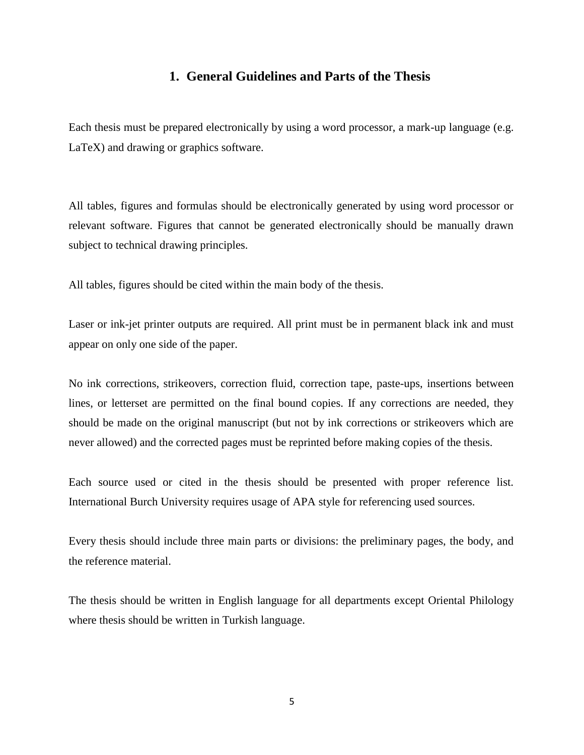# **1. General Guidelines and Parts of the Thesis**

Each thesis must be prepared electronically by using a word processor, a mark-up language (e.g. LaTeX) and drawing or graphics software.

All tables, figures and formulas should be electronically generated by using word processor or relevant software. Figures that cannot be generated electronically should be manually drawn subject to technical drawing principles.

All tables, figures should be cited within the main body of the thesis.

Laser or ink-jet printer outputs are required. All print must be in permanent black ink and must appear on only one side of the paper.

No ink corrections, strikeovers, correction fluid, correction tape, paste-ups, insertions between lines, or letterset are permitted on the final bound copies. If any corrections are needed, they should be made on the original manuscript (but not by ink corrections or strikeovers which are never allowed) and the corrected pages must be reprinted before making copies of the thesis.

Each source used or cited in the thesis should be presented with proper reference list. International Burch University requires usage of APA style for referencing used sources.

Every thesis should include three main parts or divisions: the preliminary pages, the body, and the reference material.

The thesis should be written in English language for all departments except Oriental Philology where thesis should be written in Turkish language.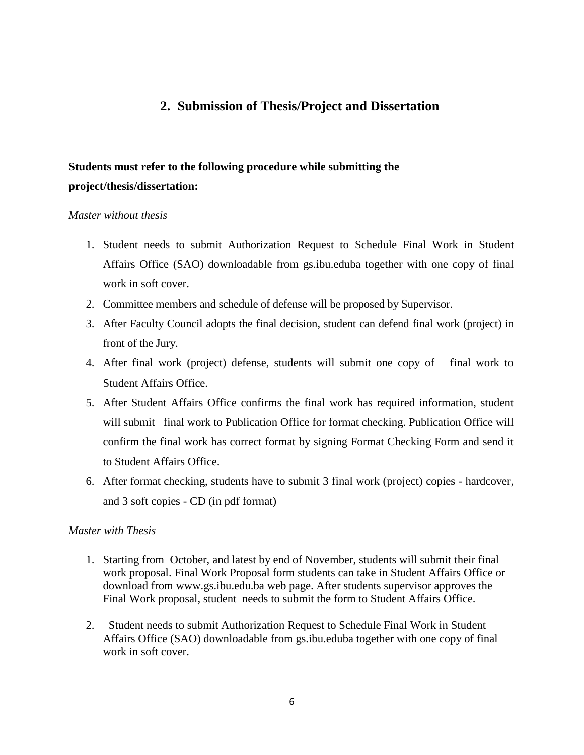# **2. Submission of Thesis/Project and Dissertation**

# **Students must refer to the following procedure while submitting the project/thesis/dissertation:**

#### *Master without thesis*

- 1. Student needs to submit Authorization Request to Schedule Final Work in Student Affairs Office (SAO) downloadable from gs.ibu.eduba together with one copy of final work in soft cover.
- 2. Committee members and schedule of defense will be proposed by Supervisor.
- 3. After Faculty Council adopts the final decision, student can defend final work (project) in front of the Jury.
- 4. After final work (project) defense, students will submit one copy of final work to Student Affairs Office.
- 5. After Student Affairs Office confirms the final work has required information, student will submit final work to Publication Office for format checking. Publication Office will confirm the final work has correct format by signing Format Checking Form and send it to Student Affairs Office.
- 6. After format checking, students have to submit 3 final work (project) copies hardcover, and 3 soft copies - CD (in pdf format)

## *Master with Thesis*

- 1. Starting from October, and latest by end of November, students will submit their final work proposal. Final Work Proposal form students can take in Student Affairs Office or download from [www.gs.ibu.edu.ba](http://www.gs.ibu.edu.ba/) web page. After students supervisor approves the Final Work proposal, student needs to submit the form to Student Affairs Office.
- 2. Student needs to submit Authorization Request to Schedule Final Work in Student Affairs Office (SAO) downloadable from gs.ibu.eduba together with one copy of final work in soft cover.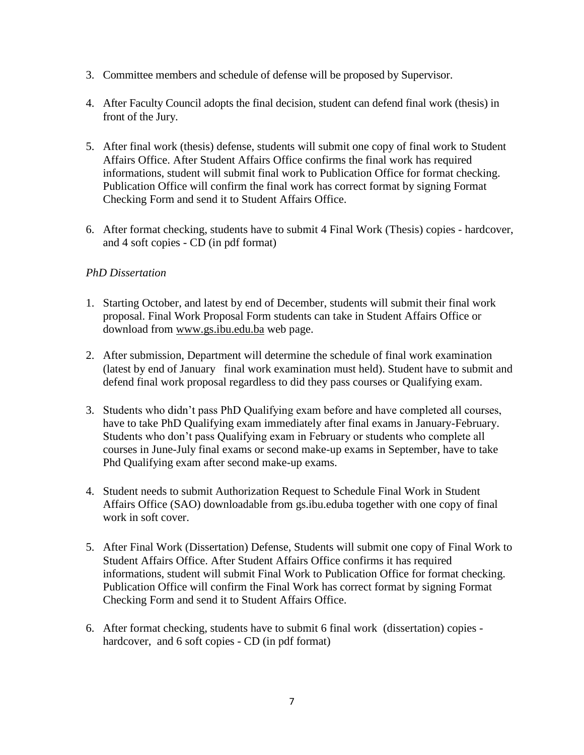- 3. Committee members and schedule of defense will be proposed by Supervisor.
- 4. After Faculty Council adopts the final decision, student can defend final work (thesis) in front of the Jury.
- 5. After final work (thesis) defense, students will submit one copy of final work to Student Affairs Office. After Student Affairs Office confirms the final work has required informations, student will submit final work to Publication Office for format checking. Publication Office will confirm the final work has correct format by signing Format Checking Form and send it to Student Affairs Office.
- 6. After format checking, students have to submit 4 Final Work (Thesis) copies hardcover, and 4 soft copies - CD (in pdf format)

## *PhD Dissertation*

- 1. Starting October, and latest by end of December, students will submit their final work proposal. Final Work Proposal Form students can take in Student Affairs Office or download from [www.gs.ibu.edu.ba](http://www.gs.ibu.edu.ba/) web page.
- 2. After submission, Department will determine the schedule of final work examination (latest by end of January final work examination must held). Student have to submit and defend final work proposal regardless to did they pass courses or Qualifying exam.
- 3. Students who didn't pass PhD Qualifying exam before and have completed all courses, have to take PhD Qualifying exam immediately after final exams in January-February. Students who don't pass Qualifying exam in February or students who complete all courses in June-July final exams or second make-up exams in September, have to take Phd Qualifying exam after second make-up exams.
- 4. Student needs to submit Authorization Request to Schedule Final Work in Student Affairs Office (SAO) downloadable from gs.ibu.eduba together with one copy of final work in soft cover.
- 5. After Final Work (Dissertation) Defense, Students will submit one copy of Final Work to Student Affairs Office. After Student Affairs Office confirms it has required informations, student will submit Final Work to Publication Office for format checking. Publication Office will confirm the Final Work has correct format by signing Format Checking Form and send it to Student Affairs Office.
- 6. After format checking, students have to submit 6 final work (dissertation) copies hardcover, and 6 soft copies - CD (in pdf format)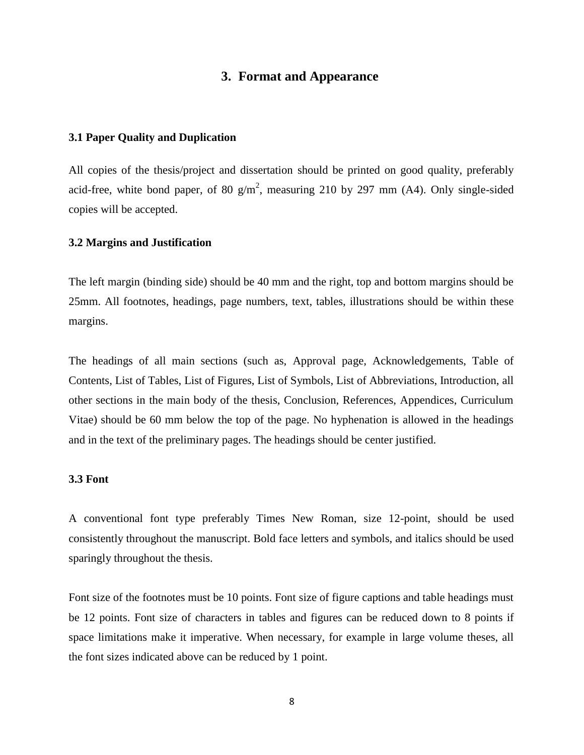## **3. Format and Appearance**

#### **3.1 Paper Quality and Duplication**

All copies of the thesis/project and dissertation should be printed on good quality, preferably acid-free, white bond paper, of 80  $g/m^2$ , measuring 210 by 297 mm (A4). Only single-sided copies will be accepted.

#### **3.2 Margins and Justification**

The left margin (binding side) should be 40 mm and the right, top and bottom margins should be 25mm. All footnotes, headings, page numbers, text, tables, illustrations should be within these margins.

The headings of all main sections (such as, Approval page, Acknowledgements, Table of Contents, List of Tables, List of Figures, List of Symbols, List of Abbreviations, Introduction, all other sections in the main body of the thesis, Conclusion, References, Appendices, Curriculum Vitae) should be 60 mm below the top of the page. No hyphenation is allowed in the headings and in the text of the preliminary pages. The headings should be center justified.

#### **3.3 Font**

A conventional font type preferably Times New Roman, size 12-point, should be used consistently throughout the manuscript. Bold face letters and symbols, and italics should be used sparingly throughout the thesis.

Font size of the footnotes must be 10 points. Font size of figure captions and table headings must be 12 points. Font size of characters in tables and figures can be reduced down to 8 points if space limitations make it imperative. When necessary, for example in large volume theses, all the font sizes indicated above can be reduced by 1 point.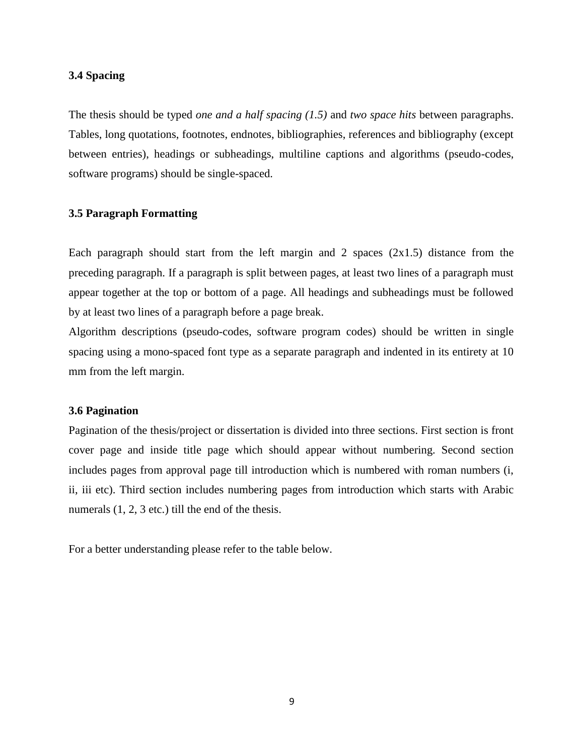#### **3.4 Spacing**

The thesis should be typed *one and a half spacing (1.5)* and *two space hits* between paragraphs. Tables, long quotations, footnotes, endnotes, bibliographies, references and bibliography (except between entries), headings or subheadings, multiline captions and algorithms (pseudo-codes, software programs) should be single-spaced.

#### **3.5 Paragraph Formatting**

Each paragraph should start from the left margin and 2 spaces  $(2x1.5)$  distance from the preceding paragraph. If a paragraph is split between pages, at least two lines of a paragraph must appear together at the top or bottom of a page. All headings and subheadings must be followed by at least two lines of a paragraph before a page break.

Algorithm descriptions (pseudo-codes, software program codes) should be written in single spacing using a mono-spaced font type as a separate paragraph and indented in its entirety at 10 mm from the left margin.

#### **3.6 Pagination**

Pagination of the thesis/project or dissertation is divided into three sections. First section is front cover page and inside title page which should appear without numbering. Second section includes pages from approval page till introduction which is numbered with roman numbers (i, ii, iii etc). Third section includes numbering pages from introduction which starts with Arabic numerals  $(1, 2, 3$  etc.) till the end of the thesis.

For a better understanding please refer to the table below.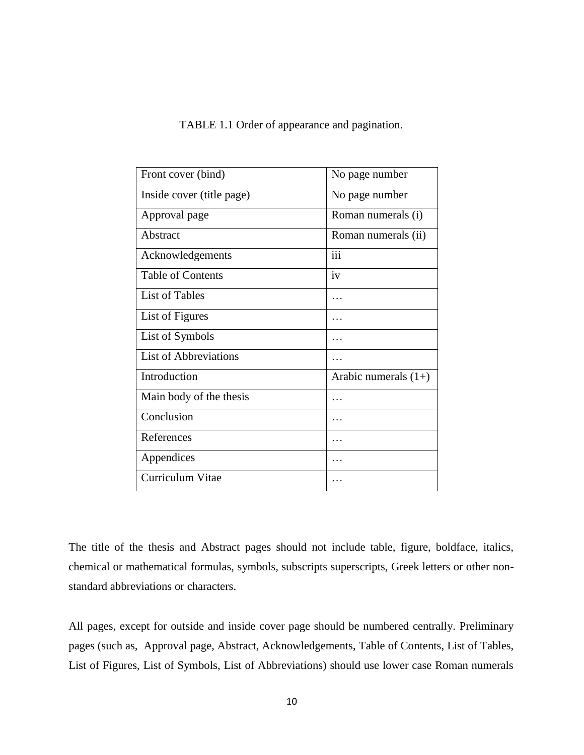|  | TABLE 1.1 Order of appearance and pagination. |
|--|-----------------------------------------------|
|  |                                               |

| Front cover (bind)           | No page number         |
|------------------------------|------------------------|
| Inside cover (title page)    | No page number         |
| Approval page                | Roman numerals (i)     |
| Abstract                     | Roman numerals (ii)    |
| Acknowledgements             | iii                    |
| <b>Table of Contents</b>     | $iv$                   |
| <b>List of Tables</b>        | .                      |
| List of Figures              |                        |
| List of Symbols              |                        |
| <b>List of Abbreviations</b> | .                      |
| Introduction                 | Arabic numerals $(1+)$ |
| Main body of the thesis      | .                      |
| Conclusion                   | .                      |
| References                   |                        |
| Appendices                   |                        |
| Curriculum Vitae             |                        |

The title of the thesis and Abstract pages should not include table, figure, boldface, italics, chemical or mathematical formulas, symbols, subscripts superscripts, Greek letters or other nonstandard abbreviations or characters.

All pages, except for outside and inside cover page should be numbered centrally. Preliminary pages (such as, Approval page, Abstract, Acknowledgements, Table of Contents, List of Tables, List of Figures, List of Symbols, List of Abbreviations) should use lower case Roman numerals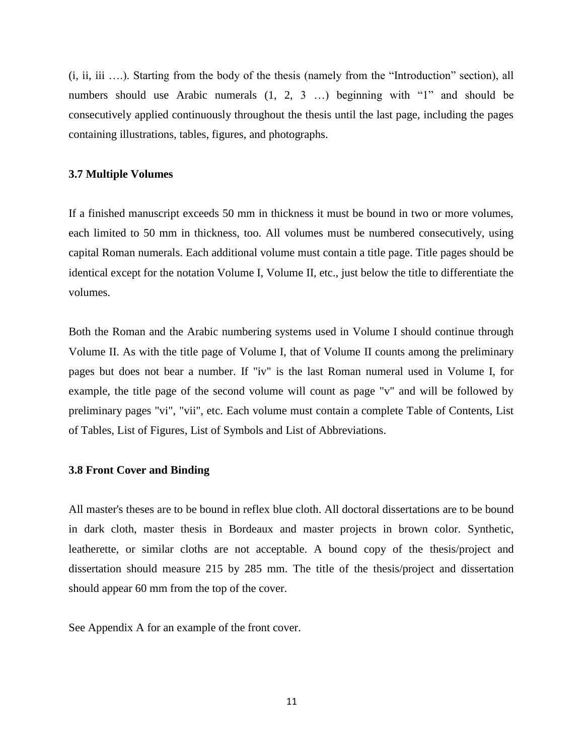(i, ii, iii ….). Starting from the body of the thesis (namely from the "Introduction" section), all numbers should use Arabic numerals  $(1, 2, 3 ...)$  beginning with "1" and should be consecutively applied continuously throughout the thesis until the last page, including the pages containing illustrations, tables, figures, and photographs.

#### **3.7 Multiple Volumes**

If a finished manuscript exceeds 50 mm in thickness it must be bound in two or more volumes, each limited to 50 mm in thickness, too. All volumes must be numbered consecutively, using capital Roman numerals. Each additional volume must contain a title page. Title pages should be identical except for the notation Volume I, Volume II, etc., just below the title to differentiate the volumes.

Both the Roman and the Arabic numbering systems used in Volume I should continue through Volume II. As with the title page of Volume I, that of Volume II counts among the preliminary pages but does not bear a number. If "iv" is the last Roman numeral used in Volume I, for example, the title page of the second volume will count as page "v" and will be followed by preliminary pages "vi", "vii", etc. Each volume must contain a complete Table of Contents, List of Tables, List of Figures, List of Symbols and List of Abbreviations.

#### **3.8 Front Cover and Binding**

All master's theses are to be bound in reflex blue cloth. All doctoral dissertations are to be bound in dark cloth, master thesis in Bordeaux and master projects in brown color. Synthetic, leatherette, or similar cloths are not acceptable. A bound copy of the thesis/project and dissertation should measure 215 by 285 mm. The title of the thesis/project and dissertation should appear 60 mm from the top of the cover.

See Appendix A for an example of the front cover.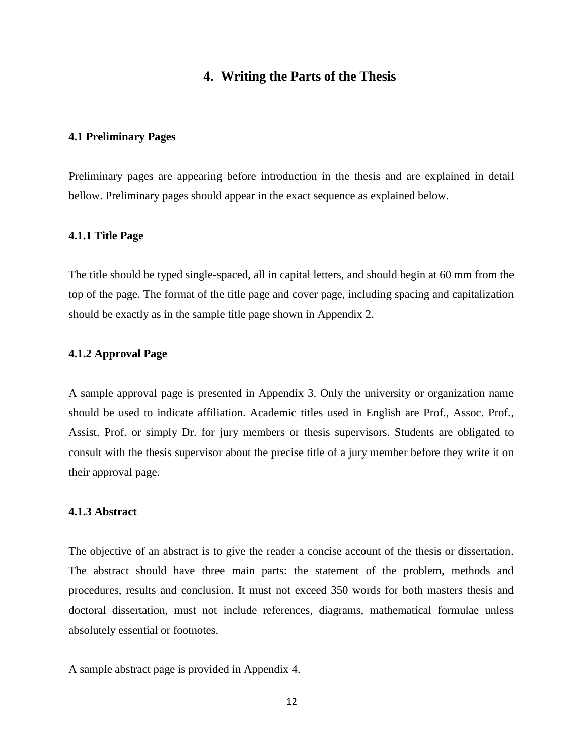## **4. Writing the Parts of the Thesis**

#### **4.1 Preliminary Pages**

Preliminary pages are appearing before introduction in the thesis and are explained in detail bellow. Preliminary pages should appear in the exact sequence as explained below.

#### **4.1.1 Title Page**

The title should be typed single-spaced, all in capital letters, and should begin at 60 mm from the top of the page. The format of the title page and cover page, including spacing and capitalization should be exactly as in the sample title page shown in Appendix 2.

#### **4.1.2 Approval Page**

A sample approval page is presented in Appendix 3. Only the university or organization name should be used to indicate affiliation. Academic titles used in English are Prof., Assoc. Prof., Assist. Prof. or simply Dr. for jury members or thesis supervisors. Students are obligated to consult with the thesis supervisor about the precise title of a jury member before they write it on their approval page.

#### **4.1.3 Abstract**

The objective of an abstract is to give the reader a concise account of the thesis or dissertation. The abstract should have three main parts: the statement of the problem, methods and procedures, results and conclusion. It must not exceed 350 words for both masters thesis and doctoral dissertation, must not include references, diagrams, mathematical formulae unless absolutely essential or footnotes.

A sample abstract page is provided in Appendix 4.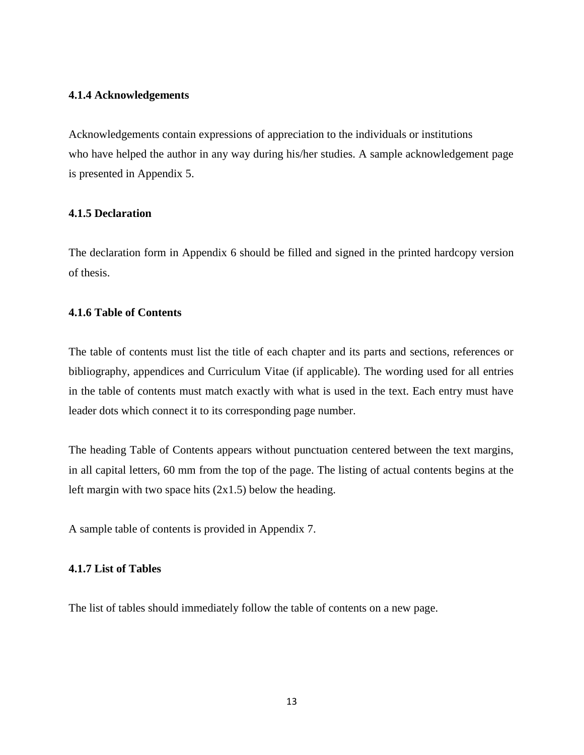#### **4.1.4 Acknowledgements**

Acknowledgements contain expressions of appreciation to the individuals or institutions who have helped the author in any way during his/her studies. A sample acknowledgement page is presented in Appendix 5.

## **4.1.5 Declaration**

The declaration form in Appendix 6 should be filled and signed in the printed hardcopy version of thesis.

#### **4.1.6 Table of Contents**

The table of contents must list the title of each chapter and its parts and sections, references or bibliography, appendices and Curriculum Vitae (if applicable). The wording used for all entries in the table of contents must match exactly with what is used in the text. Each entry must have leader dots which connect it to its corresponding page number.

The heading Table of Contents appears without punctuation centered between the text margins, in all capital letters, 60 mm from the top of the page. The listing of actual contents begins at the left margin with two space hits  $(2x1.5)$  below the heading.

A sample table of contents is provided in Appendix 7.

## **4.1.7 List of Tables**

The list of tables should immediately follow the table of contents on a new page.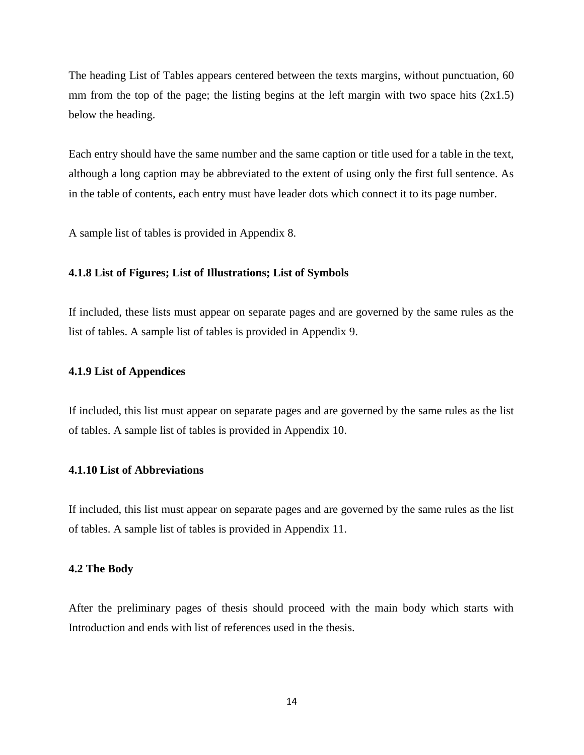The heading List of Tables appears centered between the texts margins, without punctuation, 60 mm from the top of the page; the listing begins at the left margin with two space hits  $(2x1.5)$ below the heading.

Each entry should have the same number and the same caption or title used for a table in the text, although a long caption may be abbreviated to the extent of using only the first full sentence. As in the table of contents, each entry must have leader dots which connect it to its page number.

A sample list of tables is provided in Appendix 8.

#### **4.1.8 List of Figures; List of Illustrations; List of Symbols**

If included, these lists must appear on separate pages and are governed by the same rules as the list of tables. A sample list of tables is provided in Appendix 9.

#### **4.1.9 List of Appendices**

If included, this list must appear on separate pages and are governed by the same rules as the list of tables. A sample list of tables is provided in Appendix 10.

#### **4.1.10 List of Abbreviations**

If included, this list must appear on separate pages and are governed by the same rules as the list of tables. A sample list of tables is provided in Appendix 11.

#### **4.2 The Body**

After the preliminary pages of thesis should proceed with the main body which starts with Introduction and ends with list of references used in the thesis.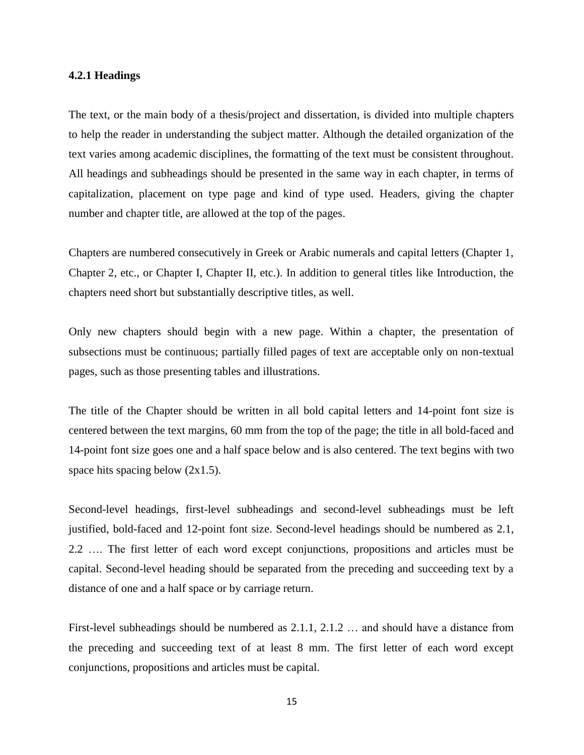#### **4.2.1 Headings**

The text, or the main body of a thesis/project and dissertation, is divided into multiple chapters to help the reader in understanding the subject matter. Although the detailed organization of the text varies among academic disciplines, the formatting of the text must be consistent throughout. All headings and subheadings should be presented in the same way in each chapter, in terms of capitalization, placement on type page and kind of type used. Headers, giving the chapter number and chapter title, are allowed at the top of the pages.

Chapters are numbered consecutively in Greek or Arabic numerals and capital letters (Chapter 1, Chapter 2, etc., or Chapter I, Chapter II, etc.). In addition to general titles like Introduction, the chapters need short but substantially descriptive titles, as well.

Only new chapters should begin with a new page. Within a chapter, the presentation of subsections must be continuous; partially filled pages of text are acceptable only on non-textual pages, such as those presenting tables and illustrations.

The title of the Chapter should be written in all bold capital letters and 14-point font size is centered between the text margins, 60 mm from the top of the page; the title in all bold-faced and 14-point font size goes one and a half space below and is also centered. The text begins with two space hits spacing below  $(2x1.5)$ .

Second-level headings, first-level subheadings and second-level subheadings must be left justified, bold-faced and 12-point font size. Second-level headings should be numbered as 2.1, 2.2 …. The first letter of each word except conjunctions, propositions and articles must be capital. Second-level heading should be separated from the preceding and succeeding text by a distance of one and a half space or by carriage return.

First-level subheadings should be numbered as 2.1.1, 2.1.2 … and should have a distance from the preceding and succeeding text of at least 8 mm. The first letter of each word except conjunctions, propositions and articles must be capital.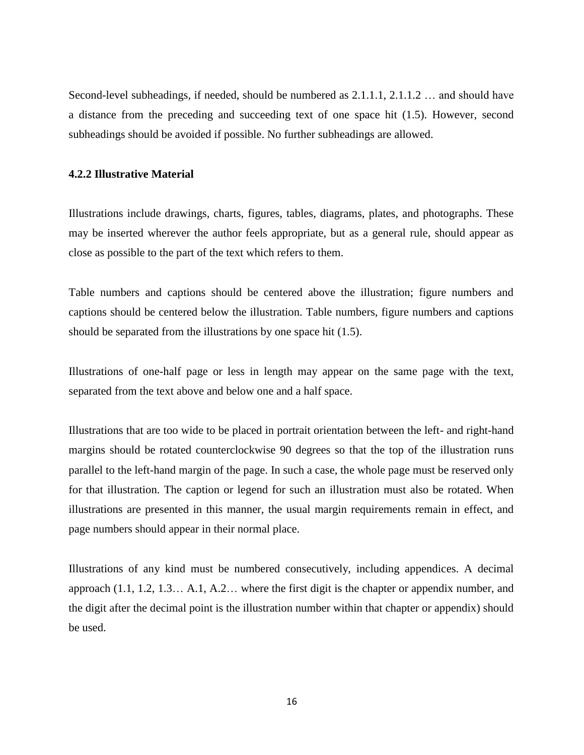Second-level subheadings, if needed, should be numbered as 2.1.1.1, 2.1.1.2 … and should have a distance from the preceding and succeeding text of one space hit (1.5). However, second subheadings should be avoided if possible. No further subheadings are allowed.

#### **4.2.2 Illustrative Material**

Illustrations include drawings, charts, figures, tables, diagrams, plates, and photographs. These may be inserted wherever the author feels appropriate, but as a general rule, should appear as close as possible to the part of the text which refers to them.

Table numbers and captions should be centered above the illustration; figure numbers and captions should be centered below the illustration. Table numbers, figure numbers and captions should be separated from the illustrations by one space hit (1.5).

Illustrations of one-half page or less in length may appear on the same page with the text, separated from the text above and below one and a half space.

Illustrations that are too wide to be placed in portrait orientation between the left- and right-hand margins should be rotated counterclockwise 90 degrees so that the top of the illustration runs parallel to the left-hand margin of the page. In such a case, the whole page must be reserved only for that illustration. The caption or legend for such an illustration must also be rotated. When illustrations are presented in this manner, the usual margin requirements remain in effect, and page numbers should appear in their normal place.

Illustrations of any kind must be numbered consecutively, including appendices. A decimal approach (1.1, 1.2, 1.3… A.1, A.2… where the first digit is the chapter or appendix number, and the digit after the decimal point is the illustration number within that chapter or appendix) should be used.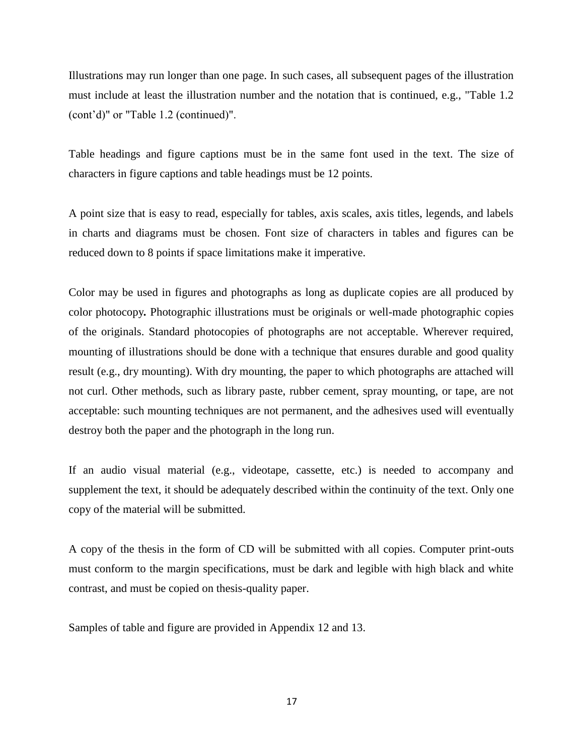Illustrations may run longer than one page. In such cases, all subsequent pages of the illustration must include at least the illustration number and the notation that is continued, e.g., "Table 1.2 (cont'd)" or "Table 1.2 (continued)".

Table headings and figure captions must be in the same font used in the text. The size of characters in figure captions and table headings must be 12 points.

A point size that is easy to read, especially for tables, axis scales, axis titles, legends, and labels in charts and diagrams must be chosen. Font size of characters in tables and figures can be reduced down to 8 points if space limitations make it imperative.

Color may be used in figures and photographs as long as duplicate copies are all produced by color photocopy*.* Photographic illustrations must be originals or well-made photographic copies of the originals. Standard photocopies of photographs are not acceptable. Wherever required, mounting of illustrations should be done with a technique that ensures durable and good quality result (e.g., dry mounting). With dry mounting, the paper to which photographs are attached will not curl. Other methods, such as library paste, rubber cement, spray mounting, or tape, are not acceptable: such mounting techniques are not permanent, and the adhesives used will eventually destroy both the paper and the photograph in the long run.

If an audio visual material (e.g., videotape, cassette, etc.) is needed to accompany and supplement the text, it should be adequately described within the continuity of the text. Only one copy of the material will be submitted.

A copy of the thesis in the form of CD will be submitted with all copies. Computer print-outs must conform to the margin specifications, must be dark and legible with high black and white contrast, and must be copied on thesis-quality paper.

Samples of table and figure are provided in Appendix 12 and 13.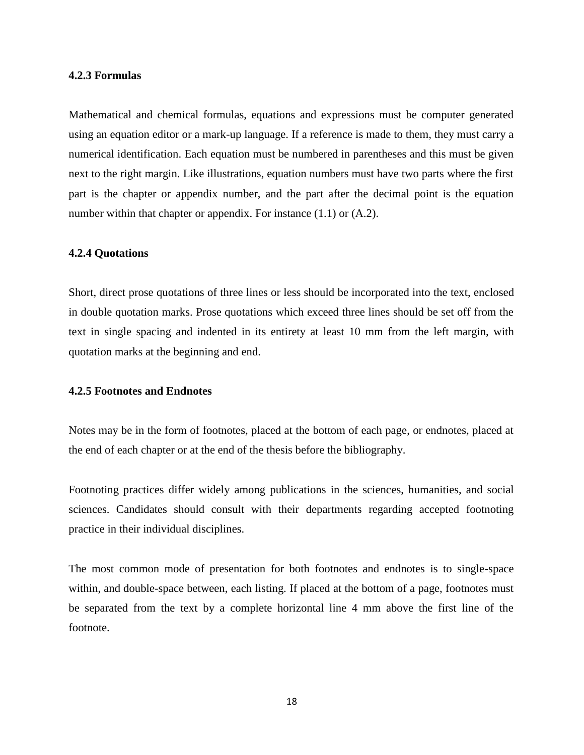#### **4.2.3 Formulas**

Mathematical and chemical formulas, equations and expressions must be computer generated using an equation editor or a mark-up language. If a reference is made to them, they must carry a numerical identification. Each equation must be numbered in parentheses and this must be given next to the right margin. Like illustrations, equation numbers must have two parts where the first part is the chapter or appendix number, and the part after the decimal point is the equation number within that chapter or appendix. For instance  $(1.1)$  or  $(A.2)$ .

#### **4.2.4 Quotations**

Short, direct prose quotations of three lines or less should be incorporated into the text, enclosed in double quotation marks. Prose quotations which exceed three lines should be set off from the text in single spacing and indented in its entirety at least 10 mm from the left margin, with quotation marks at the beginning and end.

#### **4.2.5 Footnotes and Endnotes**

Notes may be in the form of footnotes, placed at the bottom of each page, or endnotes, placed at the end of each chapter or at the end of the thesis before the bibliography.

Footnoting practices differ widely among publications in the sciences, humanities, and social sciences. Candidates should consult with their departments regarding accepted footnoting practice in their individual disciplines.

The most common mode of presentation for both footnotes and endnotes is to single-space within, and double-space between, each listing. If placed at the bottom of a page, footnotes must be separated from the text by a complete horizontal line 4 mm above the first line of the footnote.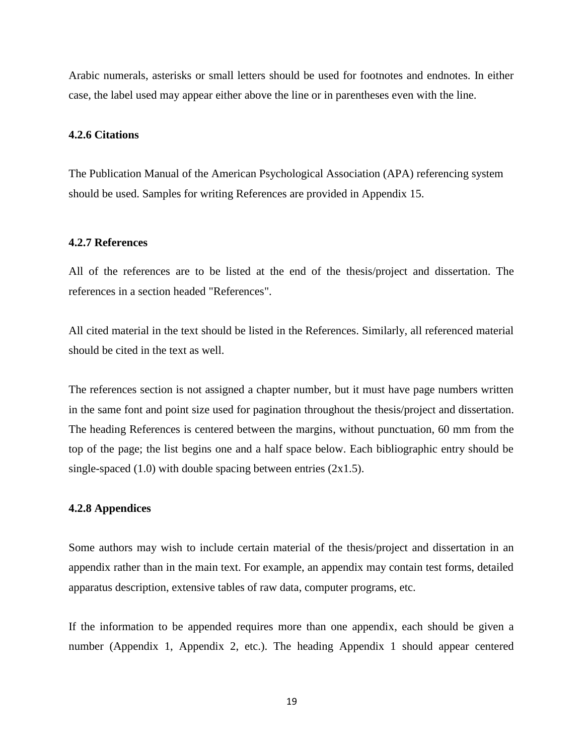Arabic numerals, asterisks or small letters should be used for footnotes and endnotes. In either case, the label used may appear either above the line or in parentheses even with the line.

#### **4.2.6 Citations**

The Publication Manual of the American Psychological Association (APA) referencing system should be used. Samples for writing References are provided in Appendix 15.

#### **4.2.7 References**

All of the references are to be listed at the end of the thesis/project and dissertation. The references in a section headed "References".

All cited material in the text should be listed in the References. Similarly, all referenced material should be cited in the text as well.

The references section is not assigned a chapter number, but it must have page numbers written in the same font and point size used for pagination throughout the thesis/project and dissertation. The heading References is centered between the margins, without punctuation, 60 mm from the top of the page; the list begins one and a half space below. Each bibliographic entry should be single-spaced  $(1.0)$  with double spacing between entries  $(2x1.5)$ .

#### **4.2.8 Appendices**

Some authors may wish to include certain material of the thesis/project and dissertation in an appendix rather than in the main text. For example, an appendix may contain test forms, detailed apparatus description, extensive tables of raw data, computer programs, etc.

If the information to be appended requires more than one appendix, each should be given a number (Appendix 1, Appendix 2, etc.). The heading Appendix 1 should appear centered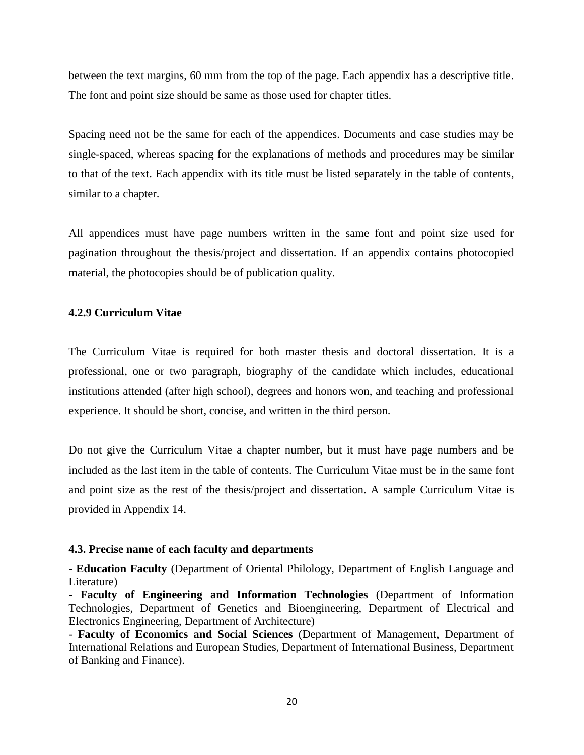between the text margins, 60 mm from the top of the page. Each appendix has a descriptive title. The font and point size should be same as those used for chapter titles.

Spacing need not be the same for each of the appendices. Documents and case studies may be single-spaced, whereas spacing for the explanations of methods and procedures may be similar to that of the text. Each appendix with its title must be listed separately in the table of contents, similar to a chapter.

All appendices must have page numbers written in the same font and point size used for pagination throughout the thesis/project and dissertation. If an appendix contains photocopied material, the photocopies should be of publication quality.

#### **4.2.9 Curriculum Vitae**

The Curriculum Vitae is required for both master thesis and doctoral dissertation. It is a professional, one or two paragraph, biography of the candidate which includes, educational institutions attended (after high school), degrees and honors won, and teaching and professional experience. It should be short, concise, and written in the third person.

Do not give the Curriculum Vitae a chapter number, but it must have page numbers and be included as the last item in the table of contents. The Curriculum Vitae must be in the same font and point size as the rest of the thesis/project and dissertation. A sample Curriculum Vitae is provided in Appendix 14.

#### **4.3. Precise name of each faculty and departments**

- **Education Faculty** (Department of Oriental Philology, Department of English Language and Literature)

- **Faculty of Engineering and Information Technologies** (Department of Information Technologies, Department of Genetics and Bioengineering, Department of Electrical and Electronics Engineering, Department of Architecture)

- **Faculty of Economics and Social Sciences** (Department of Management, Department of International Relations and European Studies, Department of International Business, Department of Banking and Finance).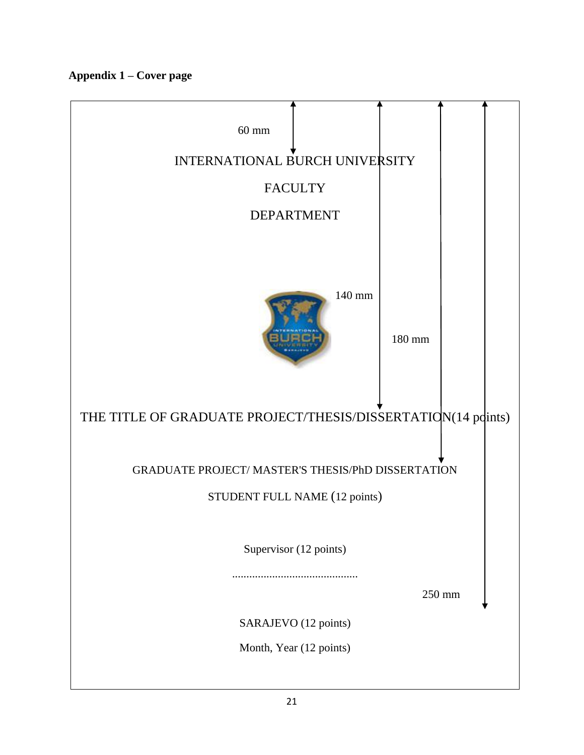**Appendix 1 – Cover page**

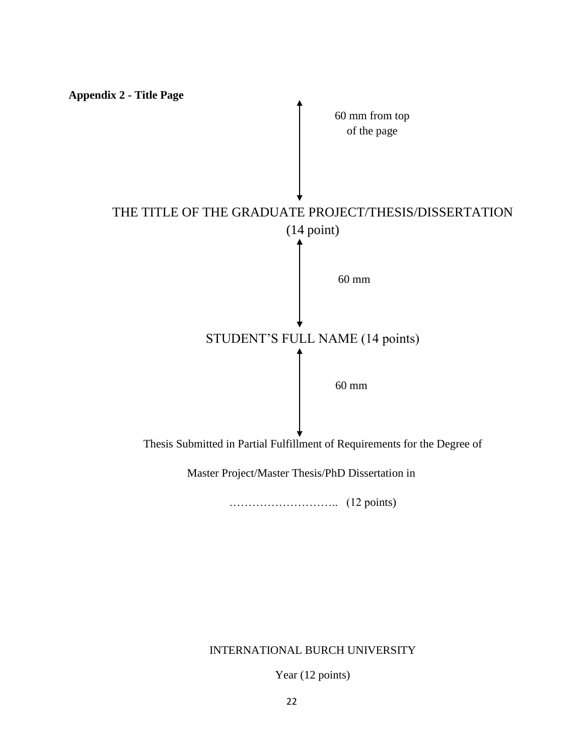

……………………….. (12 points)

## INTERNATIONAL BURCH UNIVERSITY

Year (12 points)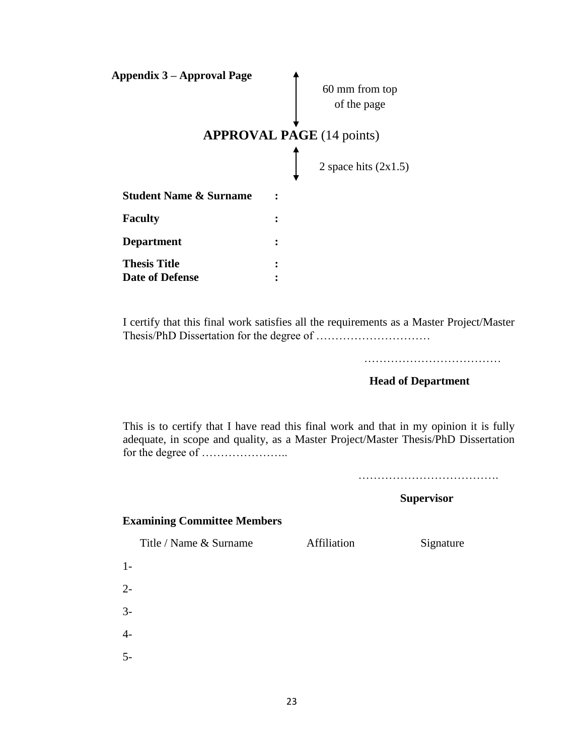| 60 mm from top                   |
|----------------------------------|
| of the page                      |
|                                  |
| <b>APPROVAL PAGE</b> (14 points) |
| 2 space hits $(2x1.5)$           |
|                                  |
|                                  |
|                                  |
|                                  |
|                                  |
|                                  |

I certify that this final work satisfies all the requirements as a Master Project/Master Thesis/PhD Dissertation for the degree of …………………………

………………………………

 **Head of Department**

This is to certify that I have read this final work and that in my opinion it is fully adequate, in scope and quality, as a Master Project/Master Thesis/PhD Dissertation for the degree of …………………..

……………………………….

 **Supervisor**

## **Examining Committee Members**

Title / Name & Surname Affiliation Signature

1-

2-

3-

4-

5-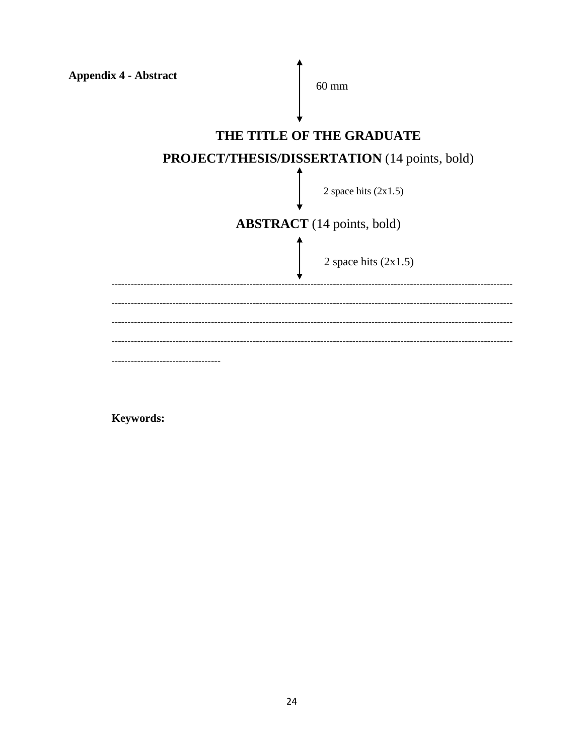| <b>Appendix 4 - Abstract</b>      | $60 \text{ mm}$                               |  |  |
|-----------------------------------|-----------------------------------------------|--|--|
|                                   | THE TITLE OF THE GRADUATE                     |  |  |
|                                   | PROJECT/THESIS/DISSERTATION (14 points, bold) |  |  |
|                                   | 2 space hits $(2x1.5)$                        |  |  |
| <b>ABSTRACT</b> (14 points, bold) |                                               |  |  |
|                                   | 2 space hits $(2x1.5)$                        |  |  |
|                                   |                                               |  |  |
|                                   |                                               |  |  |
|                                   |                                               |  |  |
|                                   |                                               |  |  |

Keywords: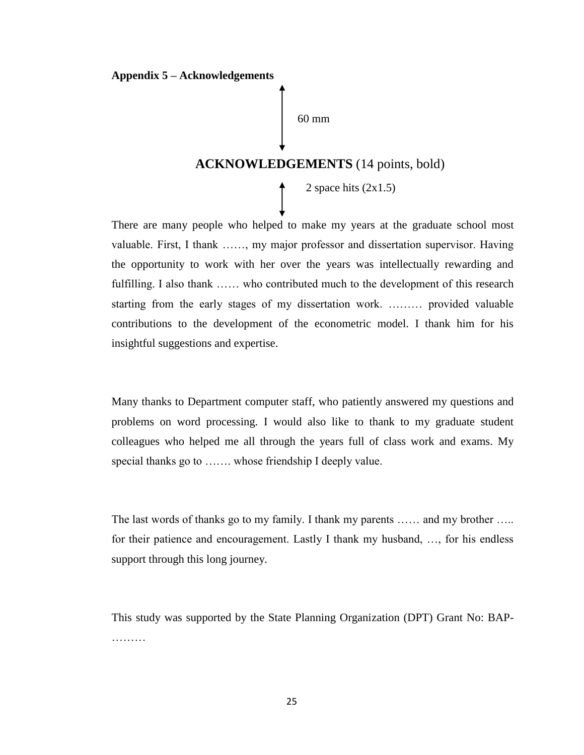#### **Appendix 5 – Acknowledgements**

60 mm

# **ACKNOWLEDGEMENTS** (14 points, bold)

2 space hits  $(2x1.5)$ 

There are many people who helped to make my years at the graduate school most valuable. First, I thank ……, my major professor and dissertation supervisor. Having the opportunity to work with her over the years was intellectually rewarding and fulfilling. I also thank …… who contributed much to the development of this research starting from the early stages of my dissertation work. ……… provided valuable contributions to the development of the econometric model. I thank him for his insightful suggestions and expertise.

Many thanks to Department computer staff, who patiently answered my questions and problems on word processing. I would also like to thank to my graduate student colleagues who helped me all through the years full of class work and exams. My special thanks go to ……. whose friendship I deeply value.

The last words of thanks go to my family. I thank my parents …… and my brother ….. for their patience and encouragement. Lastly I thank my husband, …, for his endless support through this long journey.

This study was supported by the State Planning Organization (DPT) Grant No: BAP- ………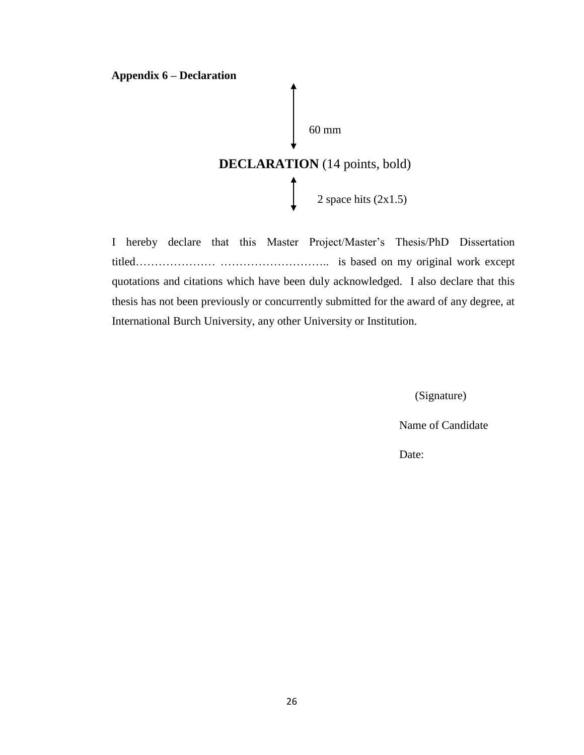#### **Appendix 6 – Declaration**



I hereby declare that this Master Project/Master's Thesis/PhD Dissertation titled………………… ……………………….. is based on my original work except quotations and citations which have been duly acknowledged. I also declare that this thesis has not been previously or concurrently submitted for the award of any degree, at International Burch University, any other University or Institution.

(Signature)

Name of Candidate

Date: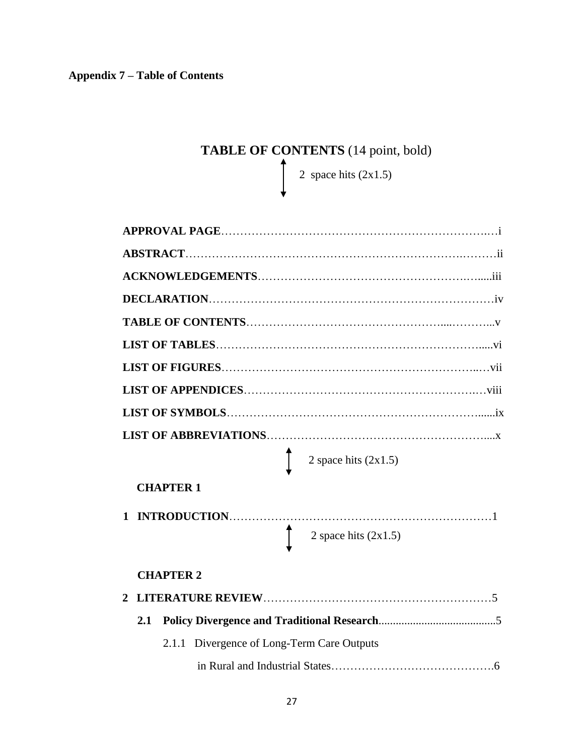# TABLE OF CONTENTS (14 point, bold)

2 space hits  $(2x1.5)$ 

|                                            | 2 space hits $(2x1.5)$ |
|--------------------------------------------|------------------------|
| <b>CHAPTER 1</b>                           |                        |
| 1                                          | 2 space hits $(2x1.5)$ |
| <b>CHAPTER 2</b>                           |                        |
| 2                                          |                        |
| 2.1                                        |                        |
| 2.1.1 Divergence of Long-Term Care Outputs |                        |
|                                            |                        |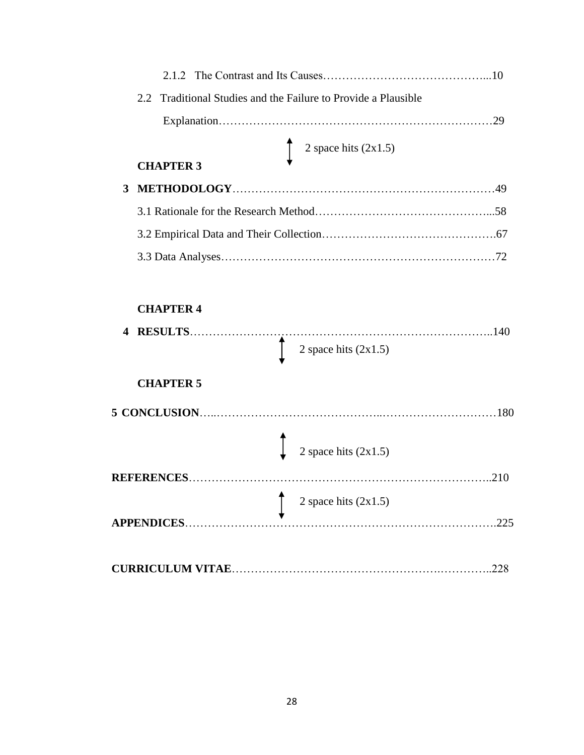|                |                                                                | 10 |
|----------------|----------------------------------------------------------------|----|
|                | 2.2 Traditional Studies and the Failure to Provide a Plausible |    |
|                |                                                                |    |
|                | 2 space hits $(2x1.5)$<br><b>CHAPTER 3</b>                     |    |
| 3 <sup>1</sup> |                                                                |    |
|                |                                                                |    |
|                |                                                                |    |
|                |                                                                |    |
|                |                                                                |    |

# **CHAPTER 4 4 RESULTS**……………………………………………………………………..140 **CHAPTER 5 5 CONCLUSION**…..……………………………………..…………………………180 **REFERENCES**……………………………………………………………………..210  **APPENDICES**……………………………………………………………………….225 **CURRICULUM VITAE**……………………………………………….…………..228 2 space hits (2x1.5) 2 space hits  $(2x1.5)$ 2 space hits (2x1.5)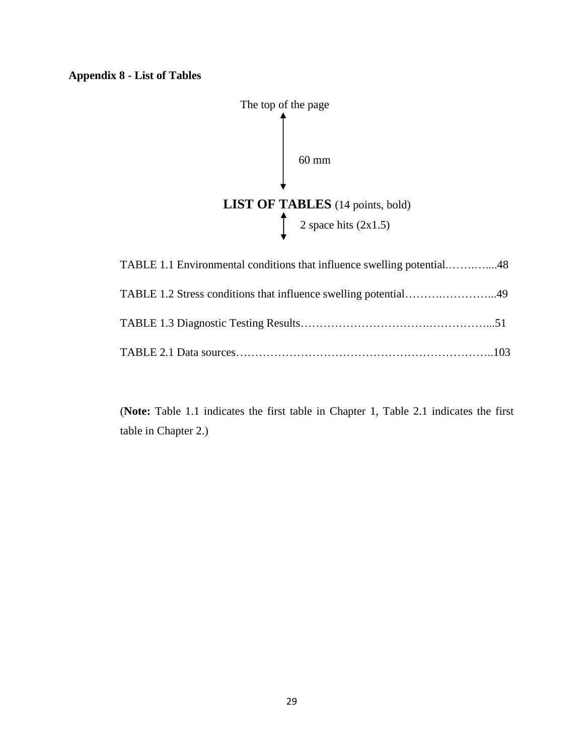# **Appendix 8 - List of Tables**



(**Note:** Table 1.1 indicates the first table in Chapter 1, Table 2.1 indicates the first table in Chapter 2.)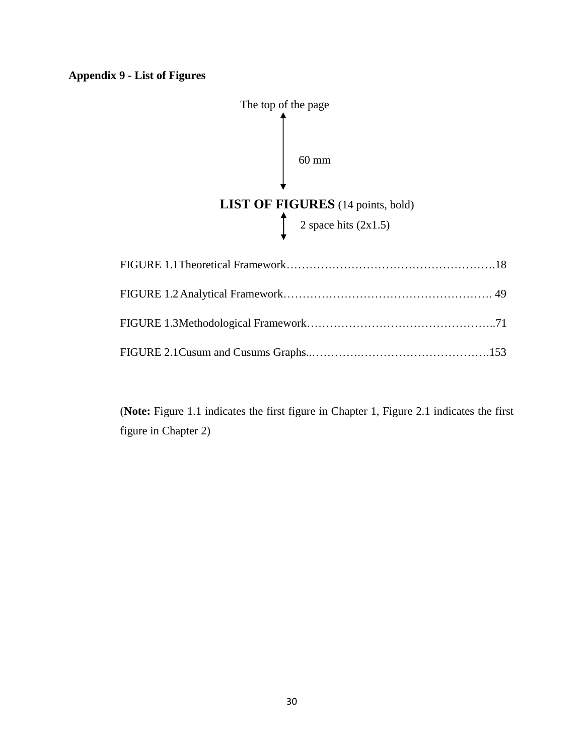# **Appendix 9 - List of Figures**



(**Note:** Figure 1.1 indicates the first figure in Chapter 1, Figure 2.1 indicates the first figure in Chapter 2)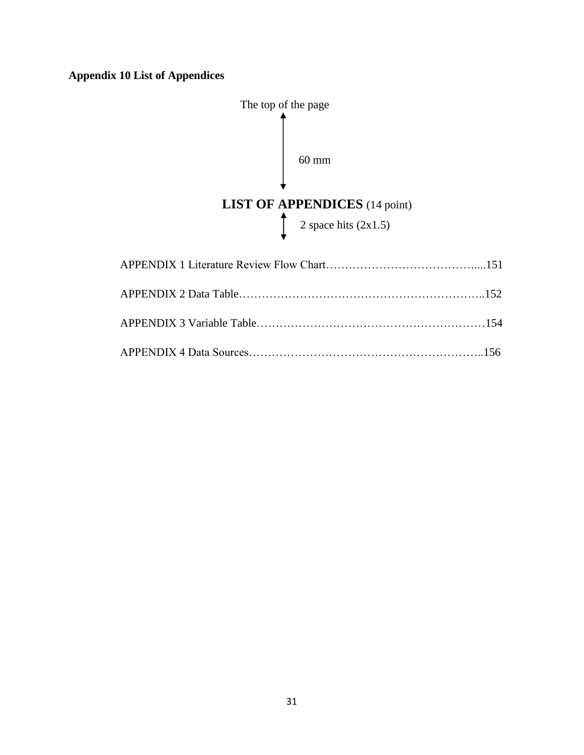# **Appendix 10 List of Appendices**

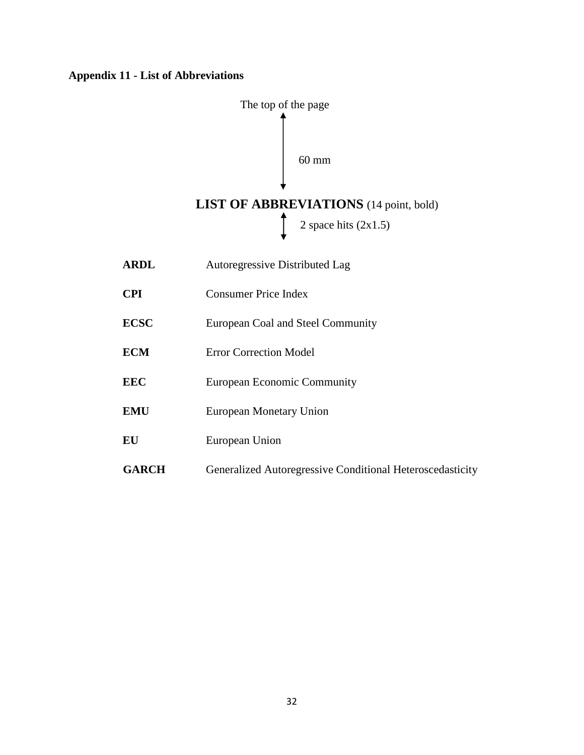## **Appendix 11 - List of Abbreviations**

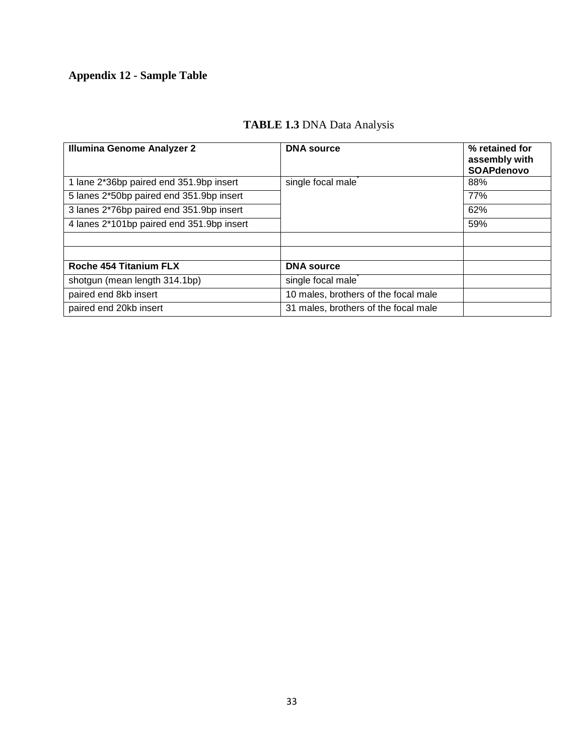# **Appendix 12 - Sample Table**

# **TABLE 1.3** DNA Data Analysis

| <b>Illumina Genome Analyzer 2</b>         | <b>DNA</b> source                    | % retained for<br>assembly with<br><b>SOAPdenovo</b> |
|-------------------------------------------|--------------------------------------|------------------------------------------------------|
| 1 lane 2*36bp paired end 351.9bp insert   | single focal male                    | 88%                                                  |
| 5 lanes 2*50bp paired end 351.9bp insert  |                                      | 77%                                                  |
| 3 lanes 2*76bp paired end 351.9bp insert  |                                      | 62%                                                  |
| 4 lanes 2*101bp paired end 351.9bp insert |                                      | 59%                                                  |
|                                           |                                      |                                                      |
|                                           |                                      |                                                      |
| Roche 454 Titanium FLX                    | <b>DNA</b> source                    |                                                      |
| shotgun (mean length 314.1bp)             | single focal male                    |                                                      |
| paired end 8kb insert                     | 10 males, brothers of the focal male |                                                      |
| paired end 20kb insert                    | 31 males, brothers of the focal male |                                                      |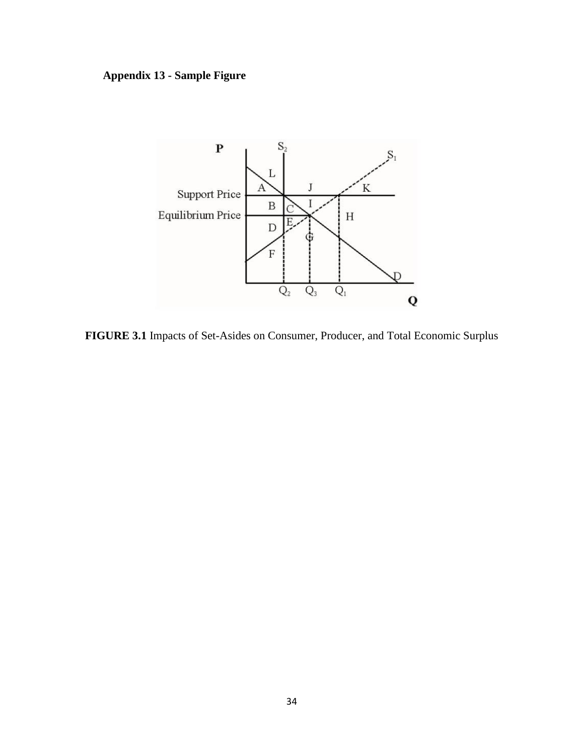# **Appendix 13 - Sample Figure**



**FIGURE 3.1** Impacts of Set-Asides on Consumer, Producer, and Total Economic Surplus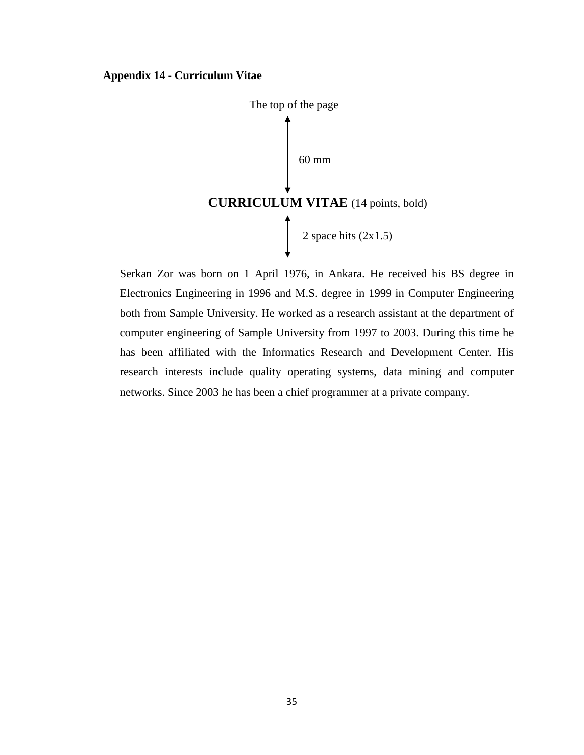#### **Appendix 14 - Curriculum Vitae**



Serkan Zor was born on 1 April 1976, in Ankara. He received his BS degree in Electronics Engineering in 1996 and M.S. degree in 1999 in Computer Engineering both from Sample University. He worked as a research assistant at the department of computer engineering of Sample University from 1997 to 2003. During this time he has been affiliated with the Informatics Research and Development Center. His research interests include quality operating systems, data mining and computer networks. Since 2003 he has been a chief programmer at a private company.